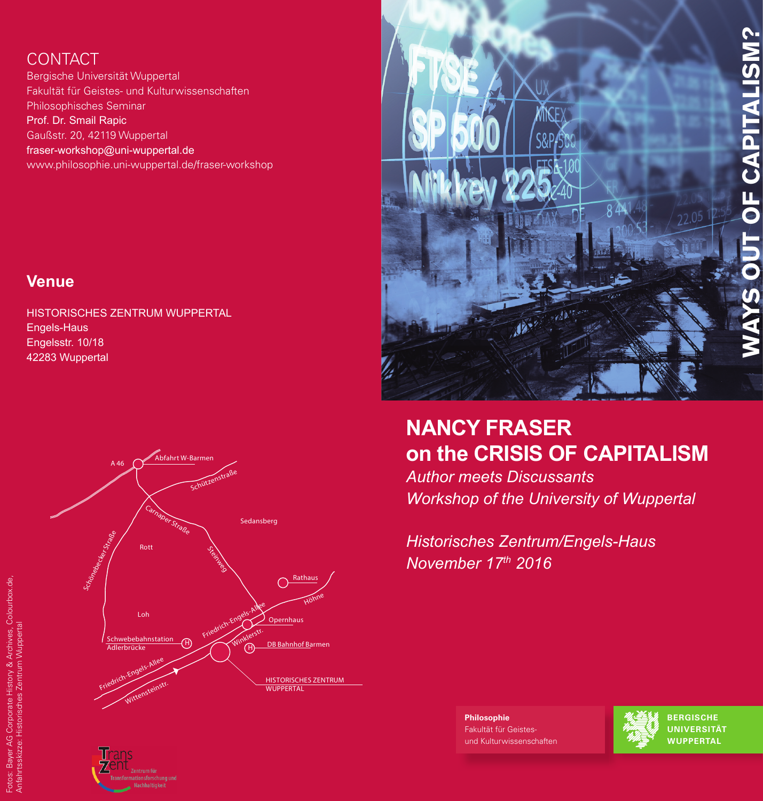# **WAYS OUT OF CAPITALISM? CAPITALISM?**  $\overline{a}$

## CONTACT

Bergische Universität Wuppertal Fakultät für Geistes- und Kulturwissenschaften Philosophisches Seminar Prof. Dr. Smail Rapic Gaußstr. 20, 42119 Wuppertal fraser-workshop@uni-wuppertal.de www.philosophie.uni-wuppertal.de/fraser-workshop

### **Venue**

HISTORISCHES ZENTRUM WUPPERTAL Engels-Haus Engelsstr. 10/18 42283 Wuppertal







# **NANCY FRASER on the CRISIS OF CAPITALISM**

*Author meets Discussants Workshop of the University of Wuppertal*

*Historisches Zentrum/Engels-Haus November 17th 2016*

> **Philosophie** Fakultät für Geistesund Kulturwissenschaften



**berGISChe UNIverSItÄt WUPPertAL**